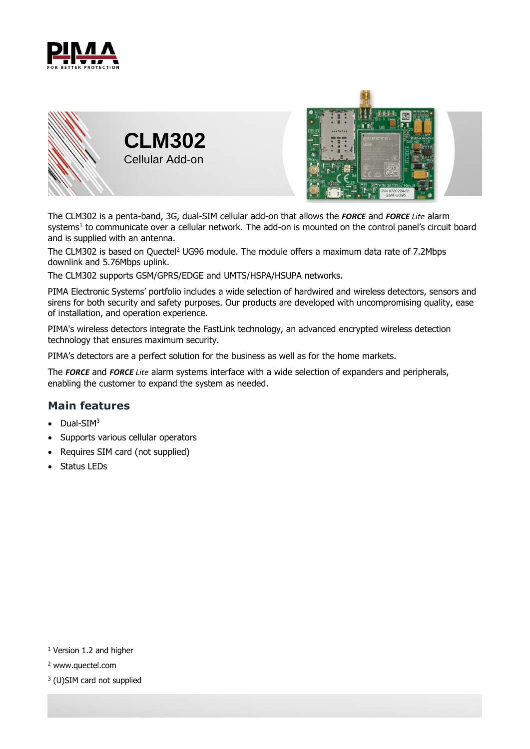





The CLM302 is a penta-band, 3G, dual-SIM cellular add-on that allows the *FORCE* and *FORCE Lite* alarm systems 1 to communicate over a cellular network. The add-on is mounted on the control panel's circuit board and is supplied with an antenna.

The CLM302 is based on Quectel<sup>2</sup> UG96 module. The module offers a maximum data rate of 7.2Mbps downlink and 5.76Mbps uplink.

The CLM302 supports GSM/GPRS/EDGE and UMTS/HSPA/HSUPA networks.

PIMA Electronic Systems' portfolio includes a wide selection of hardwired and wireless detectors, sensors and sirens for both security and safety purposes. Our products are developed with uncompromising quality, ease of installation, and operation experience.

PIMA's wireless detectors integrate the FastLink technology, an advanced encrypted wireless detection technology that ensures maximum security.

PIMA's detectors are a perfect solution for the business as well as for the home markets.

The *FORCE* and *FORCE Lite* alarm systems interface with a wide selection of expanders and peripherals, enabling the customer to expand the system as needed.

## **Main features**

- Dual-SIM<sup>3</sup>
- Supports various cellular operators
- Requires SIM card (not supplied)
- Status LEDs

- <sup>1</sup> Version 1.2 and higher
- <sup>2</sup> www.quectel.com
- 3 (U)SIM card not supplied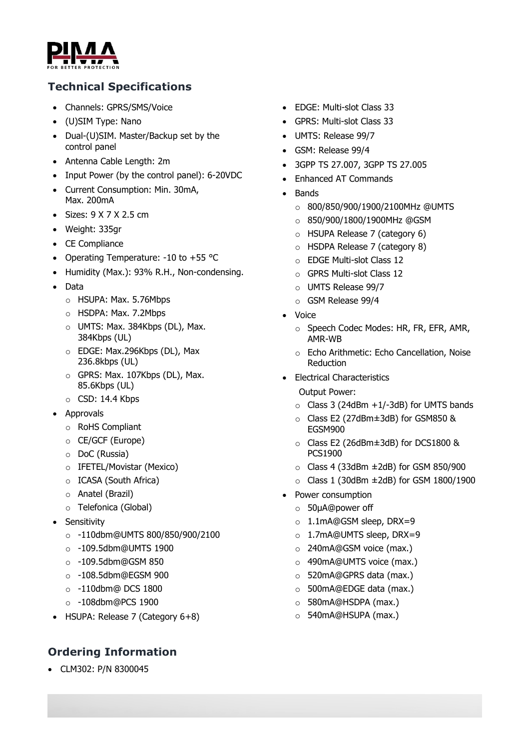

## **Technical Specifications**

- Channels: GPRS/SMS/Voice
- (U)SIM Type: Nano
- Dual-(U)SIM. Master/Backup set by the control panel
- Antenna Cable Length: 2m
- Input Power (by the control panel): 6-20VDC
- Current Consumption: Min. 30mA, Max. 200mA
- Sizes: 9 X 7 X 2.5 cm
- Weight: 335gr
- CE Compliance
- Operating Temperature: -10 to +55 °C
- Humidity (Max.): 93% R.H., Non-condensing.
- Data
	- o HSUPA: Max. 5.76Mbps
	- o HSDPA: Max. 7.2Mbps
	- o UMTS: Max. 384Kbps (DL), Max. 384Kbps (UL)
	- o EDGE: Max.296Kbps (DL), Max 236.8kbps (UL)
	- o GPRS: Max. 107Kbps (DL), Max. 85.6Kbps (UL)
	- $\circ$  CSD: 14.4 Kbps
- Approvals
	- o RoHS Compliant
	- o CE/GCF (Europe)
	- o DoC (Russia)
	- o IFETEL/Movistar (Mexico)
	- o ICASA (South Africa)
	- o Anatel (Brazil)
	- o Telefonica (Global)
- Sensitivity
	- o -110dbm@UMTS 800/850/900/2100
	- o -109.5dbm@UMTS 1900
	- $\circ$  -109.5dbm@GSM 850
	- o -108.5dbm@EGSM 900
	- o -110dbm@ DCS 1800
	- o -108dbm@PCS 1900
- HSUPA: Release 7 (Category 6+8)

## **Ordering Information**

CLM302: P/N 8300045

- EDGE: Multi-slot Class 33
- GPRS: Multi-slot Class 33
- UMTS: Release 99/7
- GSM: Release 99/4
- 3GPP TS 27.007, 3GPP TS 27.005
- Enhanced AT Commands
- Bands
	- o 800/850/900/1900/2100MHz @UMTS
	- o 850/900/1800/1900MHz @GSM
	- o HSUPA Release 7 (category 6)
	- o HSDPA Release 7 (category 8)
	- o EDGE Multi-slot Class 12
	- o GPRS Multi-slot Class 12
	- o UMTS Release 99/7
	- o GSM Release 99/4
- Voice
	- o Speech Codec Modes: HR, FR, EFR, AMR, AMR-WB
	- o Echo Arithmetic: Echo Cancellation, Noise **Reduction**
- Electrical Characteristics

Output Power:

- $\circ$  Class 3 (24dBm +1/-3dB) for UMTS bands
- o Class E2 (27dBm±3dB) for GSM850 & EGSM900
- o Class E2 (26dBm±3dB) for DCS1800 & PCS1900
- $\circ$  Class 4 (33dBm  $\pm$ 2dB) for GSM 850/900
- $\circ$  Class 1 (30dBm  $\pm$ 2dB) for GSM 1800/1900
- Power consumption
	- o 50μA@power off
	- o 1.1mA@GSM sleep, DRX=9
	- o 1.7mA@UMTS sleep, DRX=9
	- o 240mA@GSM voice (max.)
	- o 490mA@UMTS voice (max.)
	- o 520mA@GPRS data (max.)
	- o 500mA@EDGE data (max.)
	- o 580mA@HSDPA (max.)
	- o 540mA@HSUPA (max.)